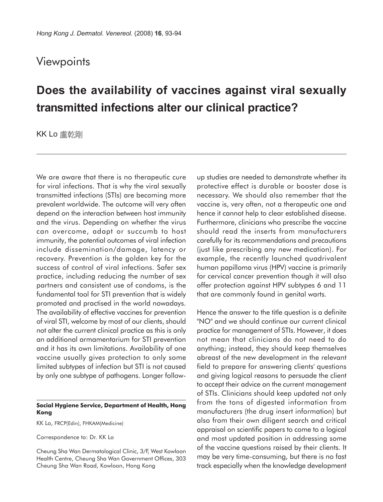## **Viewpoints**

## **Does the availability of vaccines against viral sexually transmitted infections alter our clinical practice?**

KK Lo 盧乾剛

We are aware that there is no therapeutic cure for viral infections. That is why the viral sexually transmitted infections (STIs) are becoming more prevalent worldwide. The outcome will very often depend on the interaction between host immunity and the virus. Depending on whether the virus can overcome, adapt or succumb to host immunity, the potential outcomes of viral infection include dissemination/damage, latency or recovery. Prevention is the golden key for the success of control of viral infections. Safer sex practice, including reducing the number of sex partners and consistent use of condoms, is the fundamental tool for STI prevention that is widely promoted and practised in the world nowadays. The availability of effective vaccines for prevention of viral STI, welcome by most of our clients, should not alter the current clinical practice as this is only an additional armamentarium for STI prevention and it has its own limitations. Availability of one vaccine usually gives protection to only some limited subtypes of infection but STI is not caused by only one subtype of pathogens. Longer follow-

## **Social Hygiene Service, Department of Health, Hong Kong**

KK Lo, FRCP(Edin), FHKAM(Medicine)

Correspondence to: Dr. KK Lo

Cheung Sha Wan Dermatological Clinic, 3/F, West Kowloon Health Centre, Cheung Sha Wan Government Offices, 303 Cheung Sha Wan Road, Kowloon, Hong Kong

up studies are needed to demonstrate whether its protective effect is durable or booster dose is necessary. We should also remember that the vaccine is, very often, not a therapeutic one and hence it cannot help to clear established disease. Furthermore, clinicians who prescribe the vaccine should read the inserts from manufacturers carefully for its recommendations and precautions (just like prescribing any new medication). For example, the recently launched quadrivalent human papilloma virus (HPV) vaccine is primarily for cervical cancer prevention though it will also offer protection against HPV subtypes 6 and 11 that are commonly found in genital warts.

Hence the answer to the title question is a definite "NO" and we should continue our current clinical practice for management of STIs. However, it does not mean that clinicians do not need to do anything; instead, they should keep themselves abreast of the new development in the relevant field to prepare for answering clients' questions and giving logical reasons to persuade the client to accept their advice on the current management of STIs. Clinicians should keep updated not only from the tons of digested information from manufacturers (the drug insert information) but also from their own diligent search and critical appraisal on scientific papers to come to a logical and most updated position in addressing some of the vaccine questions raised by their clients. It may be very time-consuming, but there is no fast track especially when the knowledge development